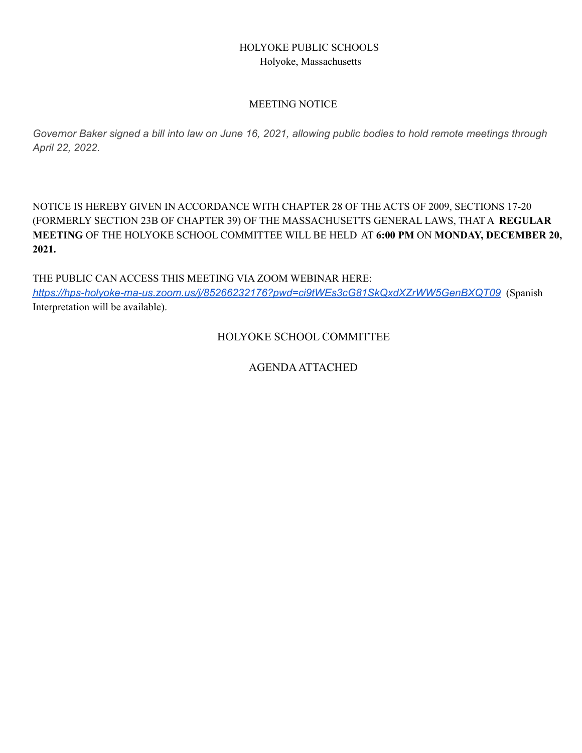# HOLYOKE PUBLIC SCHOOLS Holyoke, Massachusetts

# MEETING NOTICE

Governor Baker signed a bill into law on June 16, 2021, allowing public bodies to hold remote meetings through *April 22, 2022.*

NOTICE IS HEREBY GIVEN IN ACCORDANCE WITH CHAPTER 28 OF THE ACTS OF 2009, SECTIONS 17-20 (FORMERLY SECTION 23B OF CHAPTER 39) OF THE MASSACHUSETTS GENERAL LAWS, THAT A **REGULAR MEETING** OF THE HOLYOKE SCHOOL COMMITTEE WILL BE HELD AT **6:00 PM** ON **MONDAY, DECEMBER 20, 2021.**

THE PUBLIC CAN ACCESS THIS MEETING VIA ZOOM WEBINAR HERE: *<https://hps-holyoke-ma-us.zoom.us/j/85266232176?pwd=ci9tWEs3cG81SkQxdXZrWW5GenBXQT09>* (Spanish Interpretation will be available).

HOLYOKE SCHOOL COMMITTEE

AGENDAATTACHED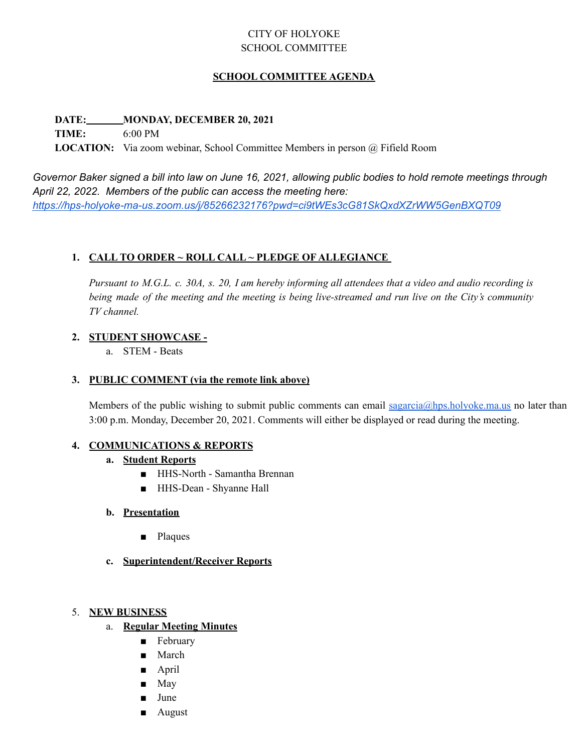# CITY OF HOLYOKE SCHOOL COMMITTEE

# **SCHOOL COMMITTEE AGENDA**

### **DATE: MONDAY, DECEMBER 20, 2021**

**TIME:** 6:00 PM

**LOCATION:** Via zoom webinar, School Committee Members in person @ Fifield Room

Governor Baker signed a bill into law on June 16, 2021, allowing public bodies to hold remote meetings through *April 22, 2022. Members of the public can access the meeting here: <https://hps-holyoke-ma-us.zoom.us/j/85266232176?pwd=ci9tWEs3cG81SkQxdXZrWW5GenBXQT09>*

# **1. CALL TO ORDER ~ ROLL CALL ~ PLEDGE OF ALLEGIANCE**

Pursuant to M.G.L. c. 30A, s. 20, I am hereby informing all attendees that a video and audio recording is being made of the meeting and the meeting is being live-streamed and run live on the City's community *TV channel.*

# **2. STUDENT SHOWCASE -**

a. STEM - Beats

### **3. PUBLIC COMMENT (via the remote link above)**

Members of the public wishing to submit public comments can email [sagarcia@hps.holyoke.ma.us](mailto:sagarcia@hps.holyoke.ma.us) no later than 3:00 p.m. Monday, December 20, 2021. Comments will either be displayed or read during the meeting.

# **4. COMMUNICATIONS & REPORTS**

# **a. Student Reports**

- HHS-North Samantha Brennan
- HHS-Dean Shyanne Hall

# **b. Presentation**

- **Plaques**
- **c. Superintendent/Receiver Reports**

#### 5. **NEW BUSINESS**

- a. **Regular Meeting Minutes**
	- February
	- March
	- April
	- May
	- June
	- August